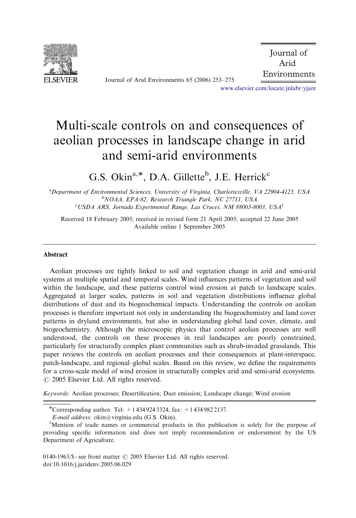

Journal of Arid Environments 65 (2006) 253–275

 Journal of Arid Environments

<www.elsevier.com/locate/jnlabr/yjare>

## Multi-scale controls on and consequences of aeolian processes in landscape change in arid and semi-arid environments

# G.S. Okin<sup>a,\*</sup>, D.A. Gillette<sup>b</sup>, J.E. Herrick<sup>c</sup>

<sup>a</sup> Department of Environmental Sciences, University of Virginia, Charlottesville, VA 22904-4123, USA <sup>b</sup>NOAA, EPA-82, Research Triangle Park, NC 27711, USA  $\rm ^cUSDA$  ARS, Jornada Experimental Range, Las Cruces, NM 88003-8003, USA<sup>1</sup>

Received 18 February 2005; received in revised form 21 April 2005; accepted 22 June 2005 Available online 1 September 2005

#### Abstract

Aeolian processes are tightly linked to soil and vegetation change in arid and semi-arid systems at multiple spatial and temporal scales. Wind influences patterns of vegetation and soil within the landscape, and these patterns control wind erosion at patch to landscape scales. Aggregated at larger scales, patterns in soil and vegetation distributions influence global distributions of dust and its biogeochemical impacts. Understanding the controls on aeolian processes is therefore important not only in understanding the biogeochemistry and land cover patterns in dryland environments, but also in understanding global land cover, climate, and biogeochemistry. Although the microscopic physics that control aeolian processes are well understood, the controls on these processes in real landscapes are poorly constrained, particularly for structurally complex plant communities such as shrub-invaded grasslands. This paper reviews the controls on aeolian processes and their consequences at plant-interspace, patch-landscape, and regional–global scales. Based on this review, we define the requirements for a cross-scale model of wind erosion in structurally complex arid and semi-arid ecosystems.  $\odot$  2005 Elsevier Ltd. All rights reserved.

Keywords: Aeolian processes; Desertification; Dust emission; Landscape change; Wind erosion

0140-1963/\$ - see front matter  $\odot$  2005 Elsevier Ltd. All rights reserved. doi:10.1016/j.jaridenv.2005.06.029

<sup>\*</sup>Corresponding author. Tel:  $+14349243324$ ; fax:  $+14349822137$ .

 $E$ -mail address: okin@virginia.edu (G.S. Okin).

<sup>&</sup>lt;sup>1</sup>Mention of trade names or commercial products in this publication is solely for the purpose of providing specific information and does not imply recommendation or endorsement by the US Department of Agriculture.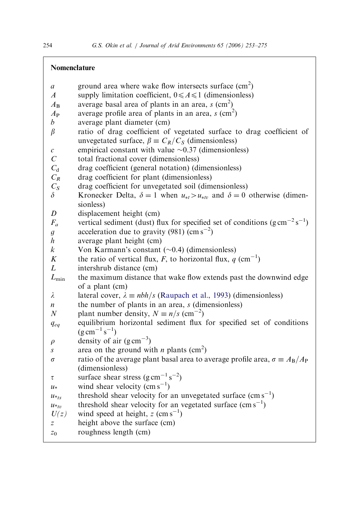## Nomenclature

| a                           | ground area where wake flow intersects surface $(cm2)$                                                                          |
|-----------------------------|---------------------------------------------------------------------------------------------------------------------------------|
| $\overline{A}$              | supply limitation coefficient, $0 \leq A \leq 1$ (dimensionless)                                                                |
| $A_{\rm B}$                 | average basal area of plants in an area, $s$ (cm <sup>2</sup> )                                                                 |
| $A_{\rm P}$                 | average profile area of plants in an area, $s$ (cm <sup>2</sup> )                                                               |
| b                           | average plant diameter (cm)                                                                                                     |
| $\beta$                     | ratio of drag coefficient of vegetated surface to drag coefficient of<br>unvegetated surface, $\beta = C_R/C_S$ (dimensionless) |
| $\mathcal{C}_{\mathcal{C}}$ | empirical constant with value $\sim 0.37$ (dimensionless)                                                                       |
| $\mathcal{C}$               | total fractional cover (dimensionless)                                                                                          |
| $C_{d}$                     | drag coefficient (general notation) (dimensionless)                                                                             |
| $C_R$                       | drag coefficient for plant (dimensionless)                                                                                      |
| $C_S$                       | drag coefficient for unvegetated soil (dimensionless)                                                                           |
| $\delta$                    | Kronecker Delta, $\delta = 1$ when $u_{\ast l} > u_{\ast l}$ and $\delta = 0$ otherwise (dimen-                                 |
|                             | sionless)                                                                                                                       |
| D                           | displacement height (cm)                                                                                                        |
| $F_a$                       | vertical sediment (dust) flux for specified set of conditions $(g \text{ cm}^{-2} \text{ s}^{-1})$                              |
| g                           | acceleration due to gravity (981) $\text{(cm s}^{-2})$                                                                          |
| h                           | average plant height (cm)                                                                                                       |
| k                           | Von Karmann's constant $(\sim 0.4)$ (dimensionless)                                                                             |
| K                           | the ratio of vertical flux, F, to horizontal flux, $q$ (cm <sup>-1</sup> )                                                      |
| L                           | intershrub distance (cm)                                                                                                        |
| $L_{\rm min}$               | the maximum distance that wake flow extends past the downwind edge<br>of a plant (cm)                                           |
| λ                           | lateral cover, $\lambda = nbh/s$ (Raupach et al., 1993) (dimensionless)                                                         |
| n                           | the number of plants in an area, $s$ (dimensionless)                                                                            |
| N                           | plant number density, $N \equiv n/s \text{ (cm}^{-2})$                                                                          |
| $q_{eq}$                    | equilibrium horizontal sediment flux for specified set of conditions                                                            |
|                             | $(g \text{ cm}^{-1} \text{ s}^{-1})$                                                                                            |
| $\rho$                      | density of air $(g \text{ cm}^{-3})$                                                                                            |
| S                           | area on the ground with <i>n</i> plants (cm <sup>2</sup> )                                                                      |
| $\sigma$                    | ratio of the average plant basal area to average profile area, $\sigma = A_B/A_P$                                               |
|                             | (dimensionless)                                                                                                                 |
| τ                           | surface shear stress $(g \text{ cm}^{-1} \text{ s}^{-2})$                                                                       |
| $u^*$                       | wind shear velocity (cm $s^{-1}$ )                                                                                              |
| $u_{*_{ts}}$                | threshold shear velocity for an unvegetated surface $\rm (cm\,s^{-1})$                                                          |
| $u_{\ast_{t\nu}}$           | threshold shear velocity for an vegetated surface $\text{(cm s}^{-1})$                                                          |
| U(z)                        | wind speed at height, $z$ (cm s <sup>-1</sup> )                                                                                 |
| Ζ                           | height above the surface (cm)                                                                                                   |
| $z_0$                       | roughness length (cm)                                                                                                           |
|                             |                                                                                                                                 |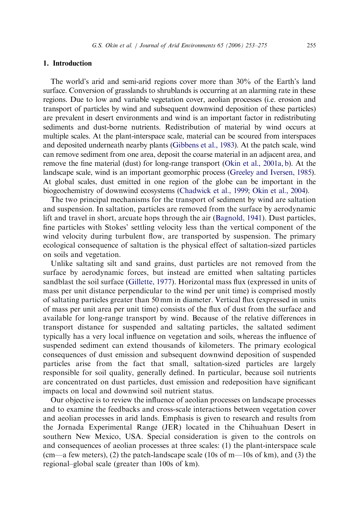## 1. Introduction

The world's arid and semi-arid regions cover more than 30% of the Earth's land surface. Conversion of grasslands to shrublands is occurring at an alarming rate in these regions. Due to low and variable vegetation cover, aeolian processes (i.e. erosion and transport of particles by wind and subsequent downwind deposition of these particles) are prevalent in desert environments and wind is an important factor in redistributing sediments and dust-borne nutrients. Redistribution of material by wind occurs at multiple scales. At the plant-interspace scale, material can be scoured from interspaces and deposited underneath nearby plants [\(Gibbens et al., 1983](#page-19-0)). At the patch scale, wind can remove sediment from one area, deposit the coarse material in an adjacent area, and remove the fine material (dust) for long-range transport ([Okin et al., 2001a, b](#page-21-0)). At the landscape scale, wind is an important geomorphic process [\(Greeley and Iversen, 1985](#page-20-0)). At global scales, dust emitted in one region of the globe can be important in the biogeochemistry of downwind ecosystems [\(Chadwick et al., 1999](#page-19-0); [Okin et al., 2004](#page-21-0)).

The two principal mechanisms for the transport of sediment by wind are saltation and suspension. In saltation, particles are removed from the surface by aerodynamic lift and travel in short, arcuate hops through the air [\(Bagnold, 1941\)](#page-19-0). Dust particles, fine particles with Stokes' settling velocity less than the vertical component of the wind velocity during turbulent flow, are transported by suspension. The primary ecological consequence of saltation is the physical effect of saltation-sized particles on soils and vegetation.

Unlike saltating silt and sand grains, dust particles are not removed from the surface by aerodynamic forces, but instead are emitted when saltating particles sandblast the soil surface ([Gillette, 1977\)](#page-19-0). Horizontal mass flux (expressed in units of mass per unit distance perpendicular to the wind per unit time) is comprised mostly of saltating particles greater than 50 mm in diameter. Vertical flux (expressed in units of mass per unit area per unit time) consists of the flux of dust from the surface and available for long-range transport by wind. Because of the relative differences in transport distance for suspended and saltating particles, the saltated sediment typically has a very local influence on vegetation and soils, whereas the influence of suspended sediment can extend thousands of kilometers. The primary ecological consequences of dust emission and subsequent downwind deposition of suspended particles arise from the fact that small, saltation-sized particles are largely responsible for soil quality, generally defined. In particular, because soil nutrients are concentrated on dust particles, dust emission and redeposition have significant impacts on local and downwind soil nutrient status.

Our objective is to review the influence of aeolian processes on landscape processes and to examine the feedbacks and cross-scale interactions between vegetation cover and aeolian processes in arid lands. Emphasis is given to research and results from the Jornada Experimental Range (JER) located in the Chihuahuan Desert in southern New Mexico, USA. Special consideration is given to the controls on and consequences of aeolian processes at three scales: (1) the plant-interspace scale (cm—a few meters), (2) the patch-landscape scale (10s of m—10s of km), and (3) the regional–global scale (greater than 100s of km).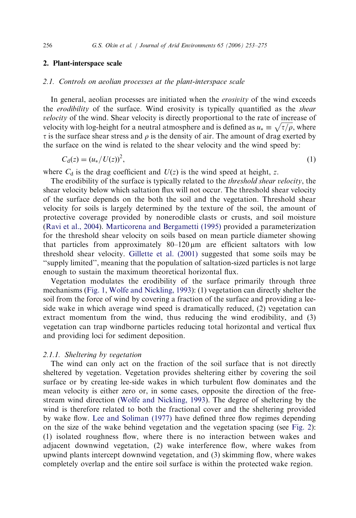## 2. Plant-interspace scale

## 2.1. Controls on aeolian processes at the plant-interspace scale

In general, aeolian processes are initiated when the *erosivity* of the wind exceeds the *erodibility* of the surface. Wind erosivity is typically quantified as the *shear* velocity of the wind. Shear velocity is directly proportional to the rate of increase of velocity with log-height for a neutral atmosphere and is defined as  $u_* \equiv \sqrt{\tau/\rho}$ , where  $\tau$  is the surface shear stress and  $\rho$  is the density of air. The amount of drag exerted by the surface on the wind is related to the shear velocity and the wind speed by:

$$
C_{d}(z) = (u_{*}/U(z))^{2},
$$
\n(1)

where  $C_d$  is the drag coefficient and  $U(z)$  is the wind speed at height, z.

The erodibility of the surface is typically related to the *threshold shear velocity*, the shear velocity below which saltation flux will not occur. The threshold shear velocity of the surface depends on the both the soil and the vegetation. Threshold shear velocity for soils is largely determined by the texture of the soil, the amount of protective coverage provided by nonerodible clasts or crusts, and soil moisture [\(Ravi et al., 2004](#page-22-0)). [Marticorena and Bergametti \(1995\)](#page-21-0) provided a parameterization for the threshold shear velocity on soils based on mean particle diameter showing that particles from approximately  $80-120 \mu m$  are efficient saltators with low threshold shear velocity. [Gillette et al. \(2001\)](#page-20-0) suggested that some soils may be ''supply limited'', meaning that the population of saltation-sized particles is not large enough to sustain the maximum theoretical horizontal flux.

Vegetation modulates the erodibility of the surface primarily through three mechanisms ([Fig. 1](#page-4-0), [Wolfe and Nickling, 1993\)](#page-22-0): (1) vegetation can directly shelter the soil from the force of wind by covering a fraction of the surface and providing a leeside wake in which average wind speed is dramatically reduced, (2) vegetation can extract momentum from the wind, thus reducing the wind erodibility, and (3) vegetation can trap windborne particles reducing total horizontal and vertical flux and providing loci for sediment deposition.

## 2.1.1. Sheltering by vegetation

The wind can only act on the fraction of the soil surface that is not directly sheltered by vegetation. Vegetation provides sheltering either by covering the soil surface or by creating lee-side wakes in which turbulent flow dominates and the mean velocity is either zero or, in some cases, opposite the direction of the freestream wind direction [\(Wolfe and Nickling, 1993](#page-22-0)). The degree of sheltering by the wind is therefore related to both the fractional cover and the sheltering provided by wake flow. [Lee and Soliman \(1977\)](#page-20-0) have defined three flow regimes depending on the size of the wake behind vegetation and the vegetation spacing (see [Fig. 2](#page-4-0)): (1) isolated roughness flow, where there is no interaction between wakes and adjacent downwind vegetation, (2) wake interference flow, where wakes from upwind plants intercept downwind vegetation, and (3) skimming flow, where wakes completely overlap and the entire soil surface is within the protected wake region.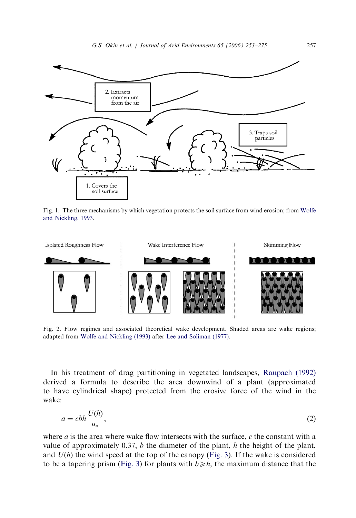<span id="page-4-0"></span>

Fig. 1. The three mechanisms by which vegetation protects the soil surface from wind erosion; from [Wolfe](#page-22-0) [and Nickling, 1993](#page-22-0).



Fig. 2. Flow regimes and associated theoretical wake development. Shaded areas are wake regions; adapted from [Wolfe and Nickling \(1993\)](#page-22-0) after [Lee and Soliman \(1977\).](#page-20-0)

In his treatment of drag partitioning in vegetated landscapes, [Raupach \(1992\)](#page-22-0) derived a formula to describe the area downwind of a plant (approximated to have cylindrical shape) protected from the erosive force of the wind in the wake:

$$
a = cbh \frac{U(h)}{u_*},\tag{2}
$$

where  $a$  is the area where wake flow intersects with the surface,  $c$  the constant with a value of approximately 0.37,  $b$  the diameter of the plant,  $h$  the height of the plant, and  $U(h)$  the wind speed at the top of the canopy [\(Fig. 3](#page-5-0)). If the wake is considered to be a tapering prism [\(Fig. 3\)](#page-5-0) for plants with  $b \ge h$ , the maximum distance that the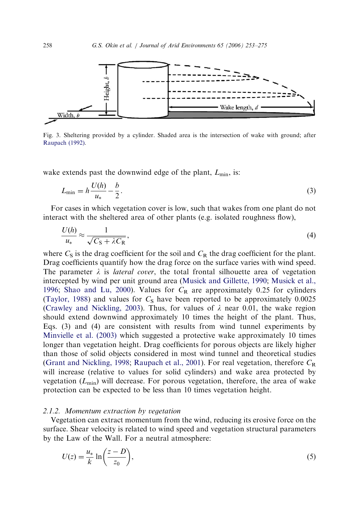<span id="page-5-0"></span>

Fig. 3. Sheltering provided by a cylinder. Shaded area is the intersection of wake with ground; after [Raupach \(1992\)](#page-22-0).

wake extends past the downwind edge of the plant,  $L_{min}$ , is:

$$
L_{\min} = h \frac{U(h)}{u_*} - \frac{b}{2}.\tag{3}
$$

For cases in which vegetation cover is low, such that wakes from one plant do not interact with the sheltered area of other plants (e.g. isolated roughness flow),

$$
\frac{U(h)}{u_*} \approx \frac{1}{\sqrt{C_S + \lambda C_R}},\tag{4}
$$

where  $C_S$  is the drag coefficient for the soil and  $C_R$  the drag coefficient for the plant. Drag coefficients quantify how the drag force on the surface varies with wind speed. The parameter  $\lambda$  is *lateral cover*, the total frontal silhouette area of vegetation intercepted by wind per unit ground area ([Musick and Gillette, 1990;](#page-21-0) [Musick et al.,](#page-21-0) [1996;](#page-21-0) [Shao and Lu, 2000\)](#page-22-0). Values for  $C_R$  are approximately 0.25 for cylinders [\(Taylor, 1988\)](#page-22-0) and values for  $C<sub>S</sub>$  have been reported to be approximately 0.0025 [\(Crawley and Nickling, 2003\)](#page-19-0). Thus, for values of  $\lambda$  near 0.01, the wake region should extend downwind approximately 10 times the height of the plant. Thus, Eqs. (3) and (4) are consistent with results from wind tunnel experiments by [Minvielle et al. \(2003\)](#page-21-0) which suggested a protective wake approximately 10 times longer than vegetation height. Drag coefficients for porous objects are likely higher than those of solid objects considered in most wind tunnel and theoretical studies [\(Grant and Nickling, 1998](#page-20-0); [Raupach et al., 2001](#page-22-0)). For real vegetation, therefore  $C_R$ will increase (relative to values for solid cylinders) and wake area protected by vegetation  $(L_{\text{min}})$  will decrease. For porous vegetation, therefore, the area of wake protection can be expected to be less than 10 times vegetation height.

### 2.1.2. Momentum extraction by vegetation

Vegetation can extract momentum from the wind, reducing its erosive force on the surface. Shear velocity is related to wind speed and vegetation structural parameters by the Law of the Wall. For a neutral atmosphere:

$$
U(z) = \frac{u_*}{k} \ln\left(\frac{z - D}{z_0}\right),\tag{5}
$$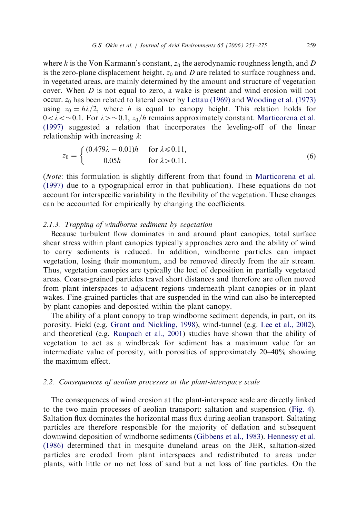where k is the Von Karmann's constant,  $z_0$  the aerodynamic roughness length, and D is the zero-plane displacement height.  $z_0$  and D are related to surface roughness and, in vegetated areas, are mainly determined by the amount and structure of vegetation cover. When D is not equal to zero, a wake is present and wind erosion will not occur.  $z_0$  has been related to lateral cover by [Lettau \(1969\)](#page-20-0) and [Wooding et al. \(1973\)](#page-22-0) using  $z_0 = h\lambda/2$ , where h is equal to canopy height. This relation holds for  $0<\lambda<\infty$ 0.1. For  $\lambda>\sim$  0.1,  $z_0/h$  remains approximately constant. [Marticorena et al.](#page-21-0) [\(1997\)](#page-21-0) suggested a relation that incorporates the leveling-off of the linear relationship with increasing  $\lambda$ :

$$
z_0 = \begin{cases} (0.479\lambda - 0.01)h & \text{for } \lambda \le 0.11, \\ 0.05h & \text{for } \lambda > 0.11. \end{cases}
$$
 (6)

(Note: this formulation is slightly different from that found in [Marticorena et al.](#page-21-0) [\(1997\)](#page-21-0) due to a typographical error in that publication). These equations do not account for interspecific variability in the flexibility of the vegetation. These changes can be accounted for empirically by changing the coefficients.

## 2.1.3. Trapping of windborne sediment by vegetation

Because turbulent flow dominates in and around plant canopies, total surface shear stress within plant canopies typically approaches zero and the ability of wind to carry sediments is reduced. In addition, windborne particles can impact vegetation, losing their momentum, and be removed directly from the air stream. Thus, vegetation canopies are typically the loci of deposition in partially vegetated areas. Coarse-grained particles travel short distances and therefore are often moved from plant interspaces to adjacent regions underneath plant canopies or in plant wakes. Fine-grained particles that are suspended in the wind can also be intercepted by plant canopies and deposited within the plant canopy.

The ability of a plant canopy to trap windborne sediment depends, in part, on its porosity. Field (e.g. [Grant and Nickling, 1998\)](#page-20-0), wind-tunnel (e.g. [Lee et al., 2002](#page-20-0)), and theoretical (e.g. [Raupach et al., 2001](#page-22-0)) studies have shown that the ability of vegetation to act as a windbreak for sediment has a maximum value for an intermediate value of porosity, with porosities of approximately 20–40% showing the maximum effect.

#### 2.2. Consequences of aeolian processes at the plant-interspace scale

The consequences of wind erosion at the plant-interspace scale are directly linked to the two main processes of aeolian transport: saltation and suspension [\(Fig. 4](#page-7-0)). Saltation flux dominates the horizontal mass flux during aeolian transport. Saltating particles are therefore responsible for the majority of deflation and subsequent downwind deposition of windborne sediments [\(Gibbens et al., 1983\)](#page-19-0). [Hennessy et al.](#page-20-0) [\(1986\)](#page-20-0) determined that in mesquite duneland areas on the JER, saltation-sized particles are eroded from plant interspaces and redistributed to areas under plants, with little or no net loss of sand but a net loss of fine particles. On the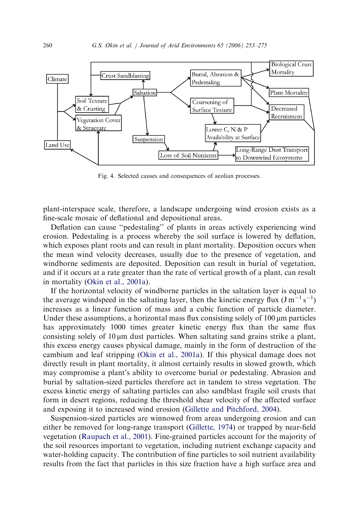<span id="page-7-0"></span>

Fig. 4. Selected causes and consequences of aeolian processes.

plant-interspace scale, therefore, a landscape undergoing wind erosion exists as a fine-scale mosaic of deflational and depositional areas.

Deflation can cause ''pedestaling'' of plants in areas actively experiencing wind erosion. Pedestaling is a process whereby the soil surface is lowered by deflation, which exposes plant roots and can result in plant mortality. Deposition occurs when the mean wind velocity decreases, usually due to the presence of vegetation, and windborne sediments are deposited. Deposition can result in burial of vegetation, and if it occurs at a rate greater than the rate of vertical growth of a plant, can result in mortality [\(Okin et al., 2001a\)](#page-21-0).

If the horizontal velocity of windborne particles in the saltation layer is equal to the average windspeed in the saltating layer, then the kinetic energy flux  $(Jm^{-1}s^{-1})$ increases as a linear function of mass and a cubic function of particle diameter. Under these assumptions, a horizontal mass flux consisting solely of  $100 \mu m$  particles has approximately 1000 times greater kinetic energy flux than the same flux consisting solely of  $10 \mu m$  dust particles. When saltating sand grains strike a plant, this excess energy causes physical damage, mainly in the form of destruction of the cambium and leaf stripping [\(Okin et al., 2001a\)](#page-21-0). If this physical damage does not directly result in plant mortality, it almost certainly results in slowed growth, which may compromise a plant's ability to overcome burial or pedestaling. Abrasion and burial by saltation-sized particles therefore act in tandem to stress vegetation. The excess kinetic energy of saltating particles can also sandblast fragile soil crusts that form in desert regions, reducing the threshold shear velocity of the affected surface and exposing it to increased wind erosion [\(Gillette and Pitchford, 2004\)](#page-20-0).

Suspension-sized particles are winnowed from areas undergoing erosion and can either be removed for long-range transport [\(Gillette, 1974](#page-19-0)) or trapped by near-field vegetation ([Raupach et al., 2001\)](#page-22-0). Fine-grained particles account for the majority of the soil resources important to vegetation, including nutrient exchange capacity and water-holding capacity. The contribution of fine particles to soil nutrient availability results from the fact that particles in this size fraction have a high surface area and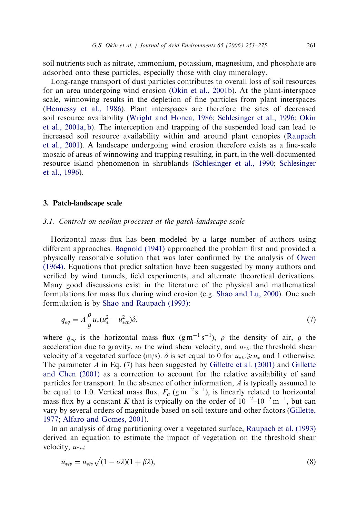soil nutrients such as nitrate, ammonium, potassium, magnesium, and phosphate are adsorbed onto these particles, especially those with clay mineralogy.

Long-range transport of dust particles contributes to overall loss of soil resources for an area undergoing wind erosion ([Okin et al., 2001b](#page-21-0)). At the plant-interspace scale, winnowing results in the depletion of fine particles from plant interspaces [\(Hennessy et al., 1986](#page-20-0)). Plant interspaces are therefore the sites of decreased soil resource availability ([Wright and Honea, 1986;](#page-22-0) [Schlesinger et al., 1996](#page-22-0); [Okin](#page-21-0) [et al., 2001a, b](#page-21-0)). The interception and trapping of the suspended load can lead to increased soil resource availability within and around plant canopies ([Raupach](#page-22-0) [et al., 2001](#page-22-0)). A landscape undergoing wind erosion therefore exists as a fine-scale mosaic of areas of winnowing and trapping resulting, in part, in the well-documented resource island phenomenon in shrublands [\(Schlesinger et al., 1990;](#page-22-0) [Schlesinger](#page-22-0) [et al., 1996](#page-22-0)).

#### 3. Patch-landscape scale

## 3.1. Controls on aeolian processes at the patch-landscape scale

Horizontal mass flux has been modeled by a large number of authors using different approaches. [Bagnold \(1941\)](#page-19-0) approached the problem first and provided a physically reasonable solution that was later confirmed by the analysis of [Owen](#page-21-0) [\(1964\)](#page-21-0). Equations that predict saltation have been suggested by many authors and verified by wind tunnels, field experiments, and alternate theoretical derivations. Many good discussions exist in the literature of the physical and mathematical formulations for mass flux during wind erosion (e.g. [Shao and Lu, 2000](#page-22-0)). One such formulation is by [Shao and Raupach \(1993\):](#page-22-0)

$$
q_{eq} = A \frac{\rho}{g} u_*(u_*^2 - u_{*tv}^2) \delta,
$$
\n(7)

where  $q_{eq}$  is the horizontal mass flux  $(g m^{-1} s^{-1})$ ,  $\rho$  the density of air, g the acceleration due to gravity,  $u_*$  the wind shear velocity, and  $u_{*t}$  the threshold shear velocity of a vegetated surface (m/s).  $\delta$  is set equal to 0 for  $u_{*uv} \ge u_*$  and 1 otherwise. The parameter  $A$  in Eq. (7) has been suggested by [Gillette et al. \(2001\)](#page-20-0) and [Gillette](#page-19-0) [and Chen \(2001\)](#page-19-0) as a correction to account for the relative availability of sand particles for transport. In the absence of other information,  $\Lambda$  is typically assumed to be equal to 1.0. Vertical mass flux,  $F_a$  (g m<sup>-2</sup> s<sup>-1</sup>), is linearly related to horizontal mass flux by a constant K that is typically on the order of  $10^{-2}$ – $10^{-3}$  m<sup>-1</sup>, but can vary by several orders of magnitude based on soil texture and other factors ([Gillette,](#page-19-0) [1977;](#page-19-0) [Alfaro and Gomes, 2001\)](#page-19-0).

In an analysis of drag partitioning over a vegetated surface, [Raupach et al. \(1993\)](#page-22-0) derived an equation to estimate the impact of vegetation on the threshold shear velocity,  $u_{\ast_{tv}}$ :

$$
u_{*tv} = u_{*ts}\sqrt{(1 - \sigma\lambda)(1 + \beta\lambda)},\tag{8}
$$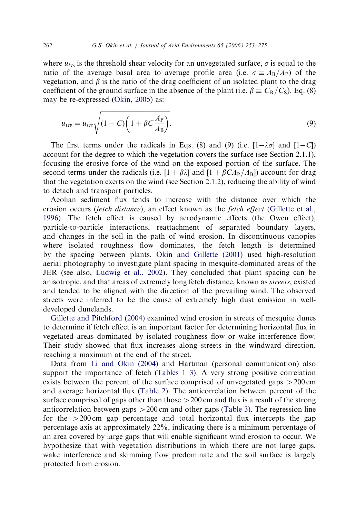where  $u_{\ast}$  is the threshold shear velocity for an unvegetated surface,  $\sigma$  is equal to the ratio of the average basal area to average profile area (i.e.  $\sigma = A_B/A_P$ ) of the vegetation, and  $\beta$  is the ratio of the drag coefficient of an isolated plant to the drag coefficient of the ground surface in the absence of the plant (i.e.  $\beta = C_R/C_S$ ). Eq. (8) may be re-expressed [\(Okin, 2005\)](#page-21-0) as:

$$
u_{*tv} = u_{*ts} \sqrt{(1 - C) \left(1 + \beta C \frac{A_P}{A_B}\right)}.
$$
\n(9)

The first terms under the radicals in Eqs. (8) and (9) (i.e.  $[1-\lambda\sigma]$  and  $[1-C]$ ) account for the degree to which the vegetation covers the surface (see Section 2.1.1), focusing the erosive force of the wind on the exposed portion of the surface. The second terms under the radicals (i.e.  $[1 + \beta \lambda]$  and  $[1 + \beta C A_P/A_B]$ ) account for drag that the vegetation exerts on the wind (see Section 2.1.2), reducing the ability of wind to detach and transport particles.

Aeolian sediment flux tends to increase with the distance over which the erosion occurs (fetch distance), an effect known as the fetch effect ([Gillette et al.,](#page-20-0) [1996\)](#page-20-0). The fetch effect is caused by aerodynamic effects (the Owen effect), particle-to-particle interactions, reattachment of separated boundary layers, and changes in the soil in the path of wind erosion. In discontinuous canopies where isolated roughness flow dominates, the fetch length is determined by the spacing between plants. [Okin and Gillette \(2001\)](#page-21-0) used high-resolution aerial photography to investigate plant spacing in mesquite-dominated areas of the JER (see also, [Ludwig et al., 2002](#page-21-0)). They concluded that plant spacing can be anisotropic, and that areas of extremely long fetch distance, known as streets, existed and tended to be aligned with the direction of the prevailing wind. The observed streets were inferred to be the cause of extremely high dust emission in welldeveloped dunelands.

[Gillette and Pitchford \(2004\)](#page-20-0) examined wind erosion in streets of mesquite dunes to determine if fetch effect is an important factor for determining horizontal flux in vegetated areas dominated by isolated roughness flow or wake interference flow. Their study showed that flux increases along streets in the windward direction, reaching a maximum at the end of the street.

Data from [Li and Okin \(2004\)](#page-21-0) and Hartman (personal communication) also support the importance of fetch (Tables  $1-3$ ). A very strong positive correlation exists between the percent of the surface comprised of unvegetated gaps  $>200 \text{ cm}$ and average horizontal flux [\(Table 2\)](#page-10-0). The anticorrelation between percent of the surface comprised of gaps other than those  $>200$  cm and flux is a result of the strong anticorrelation between gaps  $>200$  cm and other gaps [\(Table 3](#page-10-0)). The regression line for the  $>200 \text{ cm}$  gap percentage and total horizontal flux intercepts the gap percentage axis at approximately 22%, indicating there is a minimum percentage of an area covered by large gaps that will enable significant wind erosion to occur. We hypothesize that with vegetation distributions in which there are not large gaps, wake interference and skimming flow predominate and the soil surface is largely protected from erosion.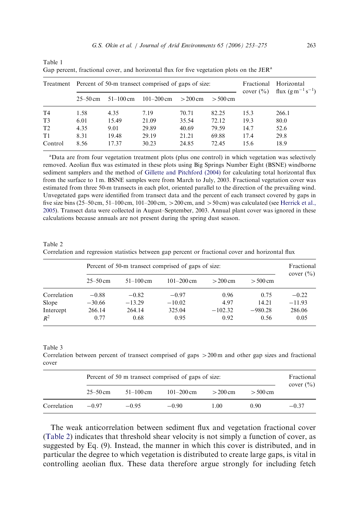|                | Treatment Percent of 50-m transect comprised of gaps of size: |               |                |                   |                    | Fractional<br>cover $(\% )$ | Horizontal<br>flux $(g m^{-1} s^{-1})$ |
|----------------|---------------------------------------------------------------|---------------|----------------|-------------------|--------------------|-----------------------------|----------------------------------------|
|                | $25 - 50$ cm                                                  | $51 - 100$ cm | $101 - 200$ cm | $>200 \text{ cm}$ | $> 500 \text{ cm}$ |                             |                                        |
| T <sub>4</sub> | 1.58                                                          | 4.35          | 7.19           | 70.71             | 82.25              | 15.3                        | 266.1                                  |
| T <sub>3</sub> | 6.01                                                          | 15.49         | 21.09          | 35.54             | 72.12              | 19.3                        | 80.0                                   |
| T <sub>2</sub> | 4.35                                                          | 9.01          | 29.89          | 40.69             | 79.59              | 14.7                        | 52.6                                   |
| T1             | 8.31                                                          | 19.48         | 29.19          | 21.21             | 69.88              | 17.4                        | 29.8                                   |
| Control        | 8.56                                                          | 17.37         | 30.23          | 24.85             | 72.45              | 15.6                        | 18.9                                   |

<span id="page-10-0"></span>Table 1 Gap percent, fractional cover, and horizontal flux for five vegetation plots on the JER<sup>a</sup>

<sup>a</sup>Data are from four vegetation treatment plots (plus one control) in which vegetation was selectively removed. Aeolian flux was estimated in these plots using Big Springs Number Eight (BSNE) windborne sediment samplers and the method of [Gillette and Pitchford \(2004\)](#page-20-0) for calculating total horizontal flux from the surface to 1 m. BSNE samples were from March to July, 2003. Fractional vegetation cover was estimated from three 50-m transects in each plot, oriented parallel to the direction of the prevailing wind. Unvegetated gaps were identified from transect data and the percent of each transect covered by gaps in five size bins (25–50 cm, 51–100 cm, 101–200 cm,  $>$  200 cm, and  $>$  50 cm) was calculated (see [Herrick et al.,](#page-20-0) [2005\)](#page-20-0). Transect data were collected in August–September, 2003. Annual plant cover was ignored in these calculations because annuals are not present during the spring dust season.

Table 2 Correlation and regression statistics between gap percent or fractional cover and horizontal flux

|             | Percent of 50-m transect comprised of gaps of size: |               |                |           |                    | Fractional<br>cover $(\% )$ |
|-------------|-----------------------------------------------------|---------------|----------------|-----------|--------------------|-----------------------------|
|             | $25 - 50$ cm                                        | $51 - 100$ cm | $101 - 200$ cm | $>200$ cm | $> 500 \text{ cm}$ |                             |
| Correlation | $-0.88$                                             | $-0.82$       | $-0.97$        | 0.96      | 0.75               | $-0.22$                     |
| Slope       | $-30.66$                                            | $-13.29$      | $-10.02$       | 4.97      | 14.21              | $-11.93$                    |
| Intercept   | 266.14                                              | 264.14        | 325.04         | $-102.32$ | $-980.28$          | 286.06                      |
| $R^2$       | 0.77                                                | 0.68          | 0.95           | 0.92      | 0.56               | 0.05                        |

Table 3

Correlation between percent of transect comprised of gaps  $>200 \text{ m}$  and other gap sizes and fractional cover

|             | Percent of 50 m transect comprised of gaps of size: |               |                |                   |                    | Fractional<br>cover $(\% )$ |
|-------------|-----------------------------------------------------|---------------|----------------|-------------------|--------------------|-----------------------------|
|             | $25 - 50$ cm                                        | $51 - 100$ cm | $101 - 200$ cm | $>200 \text{ cm}$ | $> 500 \text{ cm}$ |                             |
| Correlation | $-0.97$                                             | $-0.95$       | $-0.90$        | 00.1              | 0.90               | $-0.37$                     |

The weak anticorrelation between sediment flux and vegetation fractional cover (Table 2) indicates that threshold shear velocity is not simply a function of cover, as suggested by Eq. (9). Instead, the manner in which this cover is distributed, and in particular the degree to which vegetation is distributed to create large gaps, is vital in controlling aeolian flux. These data therefore argue strongly for including fetch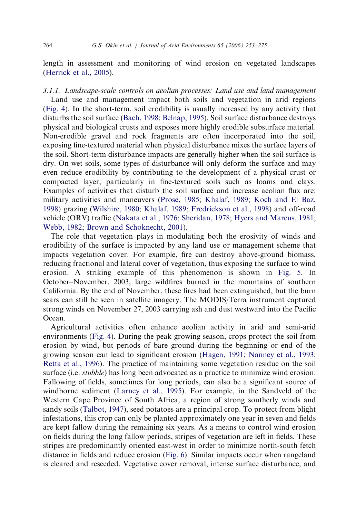length in assessment and monitoring of wind erosion on vegetated landscapes [\(Herrick et al., 2005\)](#page-20-0).

3.1.1. Landscape-scale controls on aeolian processes: Land use and land management Land use and management impact both soils and vegetation in arid regions [\(Fig. 4\)](#page-7-0). In the short-term, soil erodibility is usually increased by any activity that disturbs the soil surface ([Bach, 1998](#page-19-0); [Belnap, 1995](#page-19-0)). Soil surface disturbance destroys physical and biological crusts and exposes more highly erodible subsurface material. Non-erodible gravel and rock fragments are often incorporated into the soil, exposing fine-textured material when physical disturbance mixes the surface layers of the soil. Short-term disturbance impacts are generally higher when the soil surface is dry. On wet soils, some types of disturbance will only deform the surface and may even reduce erodibility by contributing to the development of a physical crust or compacted layer, particularly in fine-textured soils such as loams and clays. Examples of activities that disturb the soil surface and increase aeolian flux are: military activities and maneuvers [\(Prose, 1985;](#page-22-0) [Khalaf, 1989](#page-20-0); [Koch and El Baz,](#page-20-0) [1998\)](#page-20-0) grazing ([Wilshire, 1980](#page-22-0); [Khalaf, 1989](#page-20-0); [Fredrickson et al., 1998\)](#page-19-0) and off-road vehicle (ORV) traffic [\(Nakata et al., 1976](#page-21-0); [Sheridan, 1978](#page-22-0); [Hyers and Marcus, 1981;](#page-20-0) [Webb, 1982;](#page-22-0) [Brown and Schoknecht, 2001\)](#page-19-0).

The role that vegetation plays in modulating both the erosivity of winds and erodibility of the surface is impacted by any land use or management scheme that impacts vegetation cover. For example, fire can destroy above-ground biomass, reducing fractional and lateral cover of vegetation, thus exposing the surface to wind erosion. A striking example of this phenomenon is shown in [Fig. 5](#page-12-0). In October–November, 2003, large wildfires burned in the mountains of southern California. By the end of November, these fires had been extinguished, but the burn scars can still be seen in satellite imagery. The MODIS/Terra instrument captured strong winds on November 27, 2003 carrying ash and dust westward into the Pacific Ocean.

Agricultural activities often enhance aeolian activity in arid and semi-arid environments ([Fig. 4](#page-7-0)). During the peak growing season, crops protect the soil from erosion by wind, but periods of bare ground during the beginning or end of the growing season can lead to significant erosion ([Hagen, 1991](#page-20-0); [Nanney et al., 1993;](#page-21-0) [Retta et al., 1996](#page-22-0)). The practice of maintaining some vegetation residue on the soil surface (i.e. *stubble*) has long been advocated as a practice to minimize wind erosion. Fallowing of fields, sometimes for long periods, can also be a significant source of windborne sediment [\(Larney et al., 1995\)](#page-20-0). For example, in the Sandveld of the Western Cape Province of South Africa, a region of strong southerly winds and sandy soils ([Talbot, 1947\)](#page-22-0), seed potatoes are a principal crop. To protect from blight infestations, this crop can only be planted approximately one year in seven and fields are kept fallow during the remaining six years. As a means to control wind erosion on fields during the long fallow periods, stripes of vegetation are left in fields. These stripes are predominantly oriented east-west in order to minimize north-south fetch distance in fields and reduce erosion ([Fig. 6\)](#page-13-0). Similar impacts occur when rangeland is cleared and reseeded. Vegetative cover removal, intense surface disturbance, and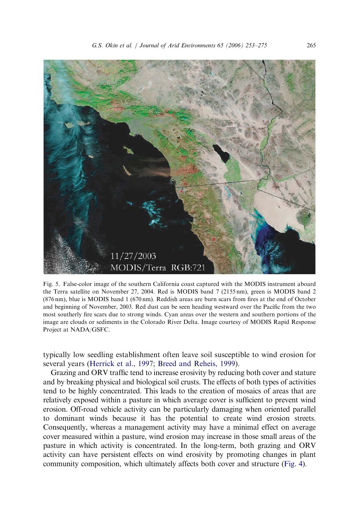<span id="page-12-0"></span>

Fig. 5. False-color image of the southern California coast captured with the MODIS instrument aboard the Terra satellite on November 27, 2004. Red is MODIS band 7 (2155 nm), green is MODIS band 2 (876 nm), blue is MODIS band 1 (670 nm). Reddish areas are burn scars from fires at the end of October and beginning of November, 2003. Red dust can be seen heading westward over the Pacific from the two most southerly fire scars due to strong winds. Cyan areas over the western and southern portions of the image are clouds or sediments in the Colorado River Delta. Image courtesy of MODIS Rapid Response Project at NADA/GSFC.

typically low seedling establishment often leave soil susceptible to wind erosion for several years ([Herrick et al., 1997](#page-20-0); [Breed and Reheis, 1999](#page-19-0)).

Grazing and ORV traffic tend to increase erosivity by reducing both cover and stature and by breaking physical and biological soil crusts. The effects of both types of activities tend to be highly concentrated. This leads to the creation of mosaics of areas that are relatively exposed within a pasture in which average cover is sufficient to prevent wind erosion. Off-road vehicle activity can be particularly damaging when oriented parallel to dominant winds because it has the potential to create wind erosion streets. Consequently, whereas a management activity may have a minimal effect on average cover measured within a pasture, wind erosion may increase in those small areas of the pasture in which activity is concentrated. In the long-term, both grazing and ORV activity can have persistent effects on wind erosivity by promoting changes in plant community composition, which ultimately affects both cover and structure [\(Fig. 4\)](#page-7-0).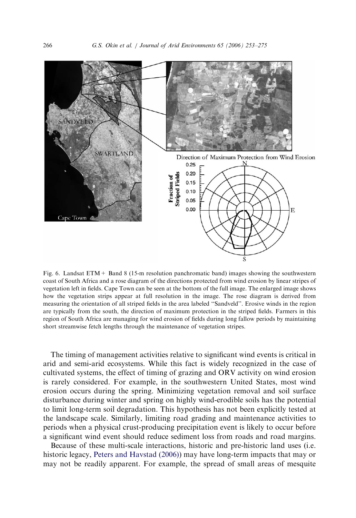<span id="page-13-0"></span>

Fig. 6. Landsat ETM+ Band 8 (15-m resolution panchromatic band) images showing the southwestern coast of South Africa and a rose diagram of the directions protected from wind erosion by linear stripes of vegetation left in fields. Cape Town can be seen at the bottom of the full image. The enlarged image shows how the vegetation strips appear at full resolution in the image. The rose diagram is derived from measuring the orientation of all striped fields in the area labeled ''Sandveld''. Erosive winds in the region are typically from the south, the direction of maximum protection in the striped fields. Farmers in this region of South Africa are managing for wind erosion of fields during long fallow periods by maintaining short streamwise fetch lengths through the maintenance of vegetation stripes.

The timing of management activities relative to significant wind events is critical in arid and semi-arid ecosystems. While this fact is widely recognized in the case of cultivated systems, the effect of timing of grazing and ORV activity on wind erosion is rarely considered. For example, in the southwestern United States, most wind erosion occurs during the spring. Minimizing vegetation removal and soil surface disturbance during winter and spring on highly wind-erodible soils has the potential to limit long-term soil degradation. This hypothesis has not been explicitly tested at the landscape scale. Similarly, limiting road grading and maintenance activities to periods when a physical crust-producing precipitation event is likely to occur before a significant wind event should reduce sediment loss from roads and road margins.

Because of these multi-scale interactions, historic and pre-historic land uses (i.e. historic legacy, [Peters and Havstad \(2006\)\)](#page-21-0) may have long-term impacts that may or may not be readily apparent. For example, the spread of small areas of mesquite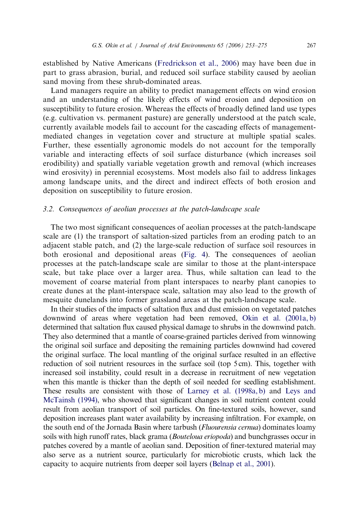established by Native Americans ([Fredrickson et al., 2006](#page-19-0)) may have been due in part to grass abrasion, burial, and reduced soil surface stability caused by aeolian sand moving from these shrub-dominated areas.

Land managers require an ability to predict management effects on wind erosion and an understanding of the likely effects of wind erosion and deposition on susceptibility to future erosion. Whereas the effects of broadly defined land use types (e.g. cultivation vs. permanent pasture) are generally understood at the patch scale, currently available models fail to account for the cascading effects of managementmediated changes in vegetation cover and structure at multiple spatial scales. Further, these essentially agronomic models do not account for the temporally variable and interacting effects of soil surface disturbance (which increases soil erodibility) and spatially variable vegetation growth and removal (which increases wind erosivity) in perennial ecosystems. Most models also fail to address linkages among landscape units, and the direct and indirect effects of both erosion and deposition on susceptibility to future erosion.

## 3.2. Consequences of aeolian processes at the patch-landscape scale

The two most significant consequences of aeolian processes at the patch-landscape scale are (1) the transport of saltation-sized particles from an eroding patch to an adjacent stable patch, and (2) the large-scale reduction of surface soil resources in both erosional and depositional areas ([Fig. 4](#page-7-0)). The consequences of aeolian processes at the patch-landscape scale are similar to those at the plant-interspace scale, but take place over a larger area. Thus, while saltation can lead to the movement of coarse material from plant interspaces to nearby plant canopies to create dunes at the plant-interspace scale, saltation may also lead to the growth of mesquite dunelands into former grassland areas at the patch-landscape scale.

In their studies of the impacts of saltation flux and dust emission on vegetated patches downwind of areas where vegetation had been removed, [Okin et al. \(2001a, b\)](#page-21-0) determined that saltation flux caused physical damage to shrubs in the downwind patch. They also determined that a mantle of coarse-grained particles derived from winnowing the original soil surface and depositing the remaining particles downwind had covered the original surface. The local mantling of the original surface resulted in an effective reduction of soil nutrient resources in the surface soil (top 5 cm). This, together with increased soil instability, could result in a decrease in recruitment of new vegetation when this mantle is thicker than the depth of soil needed for seedling establishment. These results are consistent with those of [Larney et al. \(1998a, b\)](#page-20-0) and [Leys and](#page-21-0) [McTainsh \(1994\),](#page-21-0) who showed that significant changes in soil nutrient content could result from aeolian transport of soil particles. On fine-textured soils, however, sand deposition increases plant water availability by increasing infiltration. For example, on the south end of the Jornada Basin where tarbush (Fluourensia cernua) dominates loamy soils with high runoff rates, black grama *(Bouteloua eriopoda)* and bunchgrasses occur in patches covered by a mantle of aeolian sand. Deposition of finer-textured material may also serve as a nutrient source, particularly for microbiotic crusts, which lack the capacity to acquire nutrients from deeper soil layers [\(Belnap et al., 2001](#page-19-0)).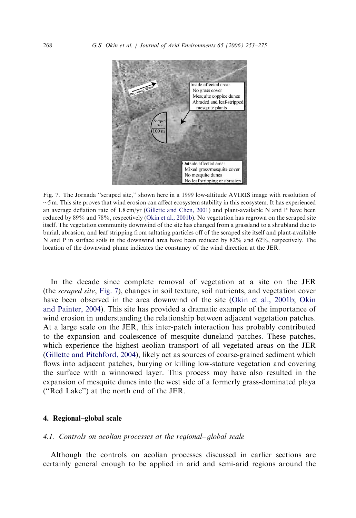

Fig. 7. The Jornada ''scraped site,'' shown here in a 1999 low-altitude AVIRIS image with resolution of  $\sim$ 5 m. This site proves that wind erosion can affect ecosystem stability in this ecosystem. It has experienced an average deflation rate of 1.8 cm/yr ([Gillette and Chen, 2001](#page-19-0)) and plant-available N and P have been reduced by 89% and 78%, respectively [\(Okin et al., 2001b](#page-21-0)). No vegetation has regrown on the scraped site itself. The vegetation community downwind of the site has changed from a grassland to a shrubland due to burial, abrasion, and leaf stripping from saltating particles off of the scraped site itself and plant-available N and P in surface soils in the downwind area have been reduced by 82% and 62%, respectively. The location of the downwind plume indicates the constancy of the wind direction at the JER.

In the decade since complete removal of vegetation at a site on the JER (the scraped site, Fig. 7), changes in soil texture, soil nutrients, and vegetation cover have been observed in the area downwind of the site ([Okin et al., 2001b;](#page-21-0) [Okin](#page-21-0) [and Painter, 2004](#page-21-0)). This site has provided a dramatic example of the importance of wind erosion in understanding the relationship between adjacent vegetation patches. At a large scale on the JER, this inter-patch interaction has probably contributed to the expansion and coalescence of mesquite duneland patches. These patches, which experience the highest aeolian transport of all vegetated areas on the JER [\(Gillette and Pitchford, 2004](#page-20-0)), likely act as sources of coarse-grained sediment which flows into adjacent patches, burying or killing low-stature vegetation and covering the surface with a winnowed layer. This process may have also resulted in the expansion of mesquite dunes into the west side of a formerly grass-dominated playa (''Red Lake'') at the north end of the JER.

## 4. Regional–global scale

## 4.1. Controls on aeolian processes at the regional– global scale

Although the controls on aeolian processes discussed in earlier sections are certainly general enough to be applied in arid and semi-arid regions around the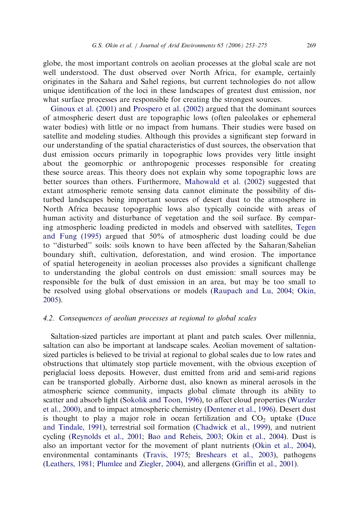globe, the most important controls on aeolian processes at the global scale are not well understood. The dust observed over North Africa, for example, certainly originates in the Sahara and Sahel regions, but current technologies do not allow unique identification of the loci in these landscapes of greatest dust emission, nor what surface processes are responsible for creating the strongest sources.

[Ginoux et al. \(2001\)](#page-20-0) and [Prospero et al. \(2002\)](#page-22-0) argued that the dominant sources of atmospheric desert dust are topographic lows (often paleolakes or ephemeral water bodies) with little or no impact from humans. Their studies were based on satellite and modeling studies. Although this provides a significant step forward in our understanding of the spatial characteristics of dust sources, the observation that dust emission occurs primarily in topographic lows provides very little insight about the geomorphic or anthropogenic processes responsible for creating these source areas. This theory does not explain why some topographic lows are better sources than others. Furthermore, [Mahowald et al. \(2002\)](#page-21-0) suggested that extant atmospheric remote sensing data cannot eliminate the possibility of disturbed landscapes being important sources of desert dust to the atmosphere in North Africa because topographic lows also typically coincide with areas of human activity and disturbance of vegetation and the soil surface. By comparing atmospheric loading predicted in models and observed with satellites, [Tegen](#page-22-0) [and Fung \(1995\)](#page-22-0) argued that 50% of atmospheric dust loading could be due to ''disturbed'' soils: soils known to have been affected by the Saharan/Sahelian boundary shift, cultivation, deforestation, and wind erosion. The importance of spatial heterogeneity in aeolian processes also provides a significant challenge to understanding the global controls on dust emission: small sources may be responsible for the bulk of dust emission in an area, but may be too small to be resolved using global observations or models [\(Raupach and Lu, 2004;](#page-22-0) [Okin,](#page-21-0) [2005\)](#page-21-0).

## 4.2. Consequences of aeolian processes at regional to global scales

Saltation-sized particles are important at plant and patch scales. Over millennia, saltation can also be important at landscape scales. Aeolian movement of saltationsized particles is believed to be trivial at regional to global scales due to low rates and obstructions that ultimately stop particle movement, with the obvious exception of periglacial loess deposits. However, dust emitted from arid and semi-arid regions can be transported globally. Airborne dust, also known as mineral aerosols in the atmospheric science community, impacts global climate through its ability to scatter and absorb light [\(Sokolik and Toon, 1996](#page-22-0)), to affect cloud properties [\(Wurzler](#page-22-0) [et al., 2000\)](#page-22-0), and to impact atmospheric chemistry ([Dentener et al., 1996\)](#page-19-0). Desert dust is thought to play a major role in ocean fertilization and  $CO<sub>2</sub>$  uptake [\(Duce](#page-19-0) [and Tindale, 1991\)](#page-19-0), terrestrial soil formation [\(Chadwick et al., 1999\)](#page-19-0), and nutrient cycling ([Reynolds et al., 2001;](#page-22-0) [Bao and Reheis, 2003;](#page-19-0) [Okin et al., 2004](#page-21-0)). Dust is also an important vector for the movement of plant nutrients [\(Okin et al., 2004](#page-21-0)), environmental contaminants [\(Travis, 1975](#page-22-0); [Breshears et al., 2003](#page-19-0)), pathogens [\(Leathers, 1981;](#page-20-0) [Plumlee and Ziegler, 2004](#page-21-0)), and allergens ([Griffin et al., 2001\)](#page-20-0).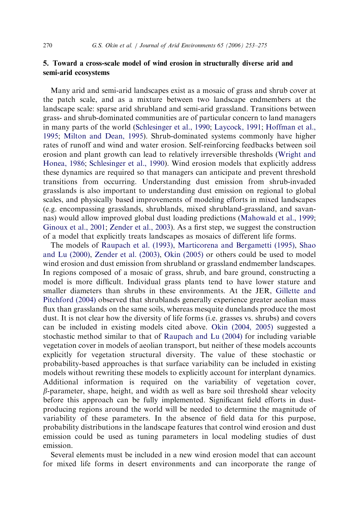## 5. Toward a cross-scale model of wind erosion in structurally diverse arid and semi-arid ecosystems

Many arid and semi-arid landscapes exist as a mosaic of grass and shrub cover at the patch scale, and as a mixture between two landscape endmembers at the landscape scale: sparse arid shrubland and semi-arid grassland. Transitions between grass- and shrub-dominated communities are of particular concern to land managers in many parts of the world [\(Schlesinger et al., 1990;](#page-22-0) [Laycock, 1991;](#page-20-0) [Hoffman et al.,](#page-20-0) [1995;](#page-20-0) [Milton and Dean, 1995](#page-21-0)). Shrub-dominated systems commonly have higher rates of runoff and wind and water erosion. Self-reinforcing feedbacks between soil erosion and plant growth can lead to relatively irreversible thresholds ([Wright and](#page-22-0) [Honea, 1986](#page-22-0); [Schlesinger et al., 1990](#page-22-0)). Wind erosion models that explicitly address these dynamics are required so that managers can anticipate and prevent threshold transitions from occurring. Understanding dust emission from shrub-invaded grasslands is also important to understanding dust emission on regional to global scales, and physically based improvements of modeling efforts in mixed landscapes (e.g. encompassing grasslands, shrublands, mixed shrubland-grassland, and savannas) would allow improved global dust loading predictions [\(Mahowald et al., 1999;](#page-21-0) [Ginoux et al., 2001;](#page-20-0) [Zender et al., 2003](#page-22-0)). As a first step, we suggest the construction of a model that explicitly treats landscapes as mosaics of different life forms.

The models of [Raupach et al. \(1993\)](#page-22-0), [Marticorena and Bergametti \(1995\)](#page-21-0), [Shao](#page-22-0) [and Lu \(2000\)](#page-22-0), [Zender et al. \(2003\),](#page-22-0) [Okin \(2005\)](#page-21-0) or others could be used to model wind erosion and dust emission from shrubland or grassland endmember landscapes. In regions composed of a mosaic of grass, shrub, and bare ground, constructing a model is more difficult. Individual grass plants tend to have lower stature and smaller diameters than shrubs in these environments. At the JER, [Gillette and](#page-20-0) [Pitchford \(2004\)](#page-20-0) observed that shrublands generally experience greater aeolian mass flux than grasslands on the same soils, whereas mesquite dunelands produce the most dust. It is not clear how the diversity of life forms (i.e. grasses vs. shrubs) and covers can be included in existing models cited above. [Okin \(2004, 2005\)](#page-21-0) suggested a stochastic method similar to that of [Raupach and Lu \(2004\)](#page-22-0) for including variable vegetation cover in models of aeolian transport, but neither of these models accounts explicitly for vegetation structural diversity. The value of these stochastic or probability-based approaches is that surface variability can be included in existing models without rewriting these models to explicitly account for interplant dynamics. Additional information is required on the variability of vegetation cover,  $\beta$ -parameter, shape, height, and width as well as bare soil threshold shear velocity before this approach can be fully implemented. Significant field efforts in dustproducing regions around the world will be needed to determine the magnitude of variability of these parameters. In the absence of field data for this purpose, probability distributions in the landscape features that control wind erosion and dust emission could be used as tuning parameters in local modeling studies of dust emission.

Several elements must be included in a new wind erosion model that can account for mixed life forms in desert environments and can incorporate the range of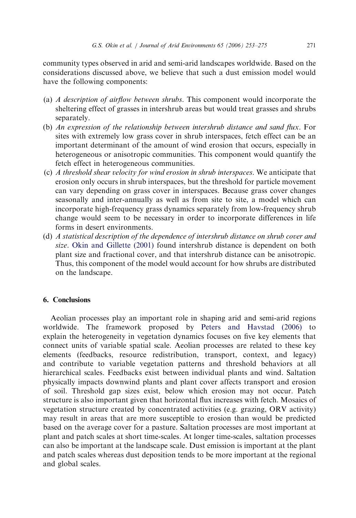community types observed in arid and semi-arid landscapes worldwide. Based on the considerations discussed above, we believe that such a dust emission model would have the following components:

- (a) A description of airflow between shrubs. This component would incorporate the sheltering effect of grasses in intershrub areas but would treat grasses and shrubs separately.
- (b) An expression of the relationship between intershrub distance and sand flux. For sites with extremely low grass cover in shrub interspaces, fetch effect can be an important determinant of the amount of wind erosion that occurs, especially in heterogeneous or anisotropic communities. This component would quantify the fetch effect in heterogeneous communities.
- (c) A threshold shear velocity for wind erosion in shrub interspaces. We anticipate that erosion only occurs in shrub interspaces, but the threshold for particle movement can vary depending on grass cover in interspaces. Because grass cover changes seasonally and inter-annually as well as from site to site, a model which can incorporate high-frequency grass dynamics separately from low-frequency shrub change would seem to be necessary in order to incorporate differences in life forms in desert environments.
- (d) A statistical description of the dependence of intershrub distance on shrub cover and size. [Okin and Gillette \(2001\)](#page-21-0) found intershrub distance is dependent on both plant size and fractional cover, and that intershrub distance can be anisotropic. Thus, this component of the model would account for how shrubs are distributed on the landscape.

## 6. Conclusions

Aeolian processes play an important role in shaping arid and semi-arid regions worldwide. The framework proposed by [Peters and Havstad \(2006\)](#page-21-0) to explain the heterogeneity in vegetation dynamics focuses on five key elements that connect units of variable spatial scale. Aeolian processes are related to these key elements (feedbacks, resource redistribution, transport, context, and legacy) and contribute to variable vegetation patterns and threshold behaviors at all hierarchical scales. Feedbacks exist between individual plants and wind. Saltation physically impacts downwind plants and plant cover affects transport and erosion of soil. Threshold gap sizes exist, below which erosion may not occur. Patch structure is also important given that horizontal flux increases with fetch. Mosaics of vegetation structure created by concentrated activities (e.g. grazing, ORV activity) may result in areas that are more susceptible to erosion than would be predicted based on the average cover for a pasture. Saltation processes are most important at plant and patch scales at short time-scales. At longer time-scales, saltation processes can also be important at the landscape scale. Dust emission is important at the plant and patch scales whereas dust deposition tends to be more important at the regional and global scales.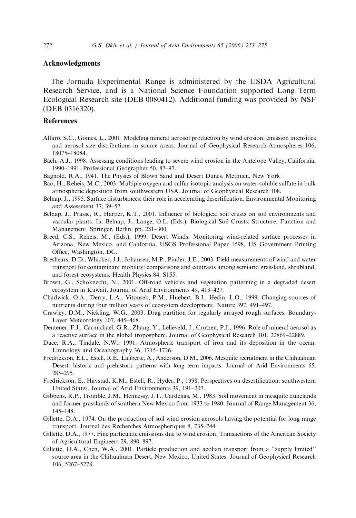## <span id="page-19-0"></span>Acknowledgments

The Jornada Experimental Range is administered by the USDA Agricultural Research Service, and is a National Science Foundation supported Long Term Ecological Research site (DEB 0080412). Additional funding was provided by NSF (DEB 0316320).

#### References

- Alfaro, S.C., Gomes, L., 2001. Modeling mineral aerosol production by wind erosion: emission intensities and aerosol size distributions in source areas. Journal of Geophysical Research-Atmospheres 106, 18075–18084.
- Bach, A.J., 1998. Assessing conditions leading to severe wind erosion in the Antelope Valley, California, 1990–1991. Professional Geographer 50, 87–97.
- Bagnold, R.A., 1941. The Physics of Blown Sand and Desert Dunes. Methuen, New York.
- Bao, H., Reheis, M.C., 2003. Multiple oxygen and sulfur isotopic analysis on water-soluble sulfate in bulk atmospheric deposition from southwestern USA. Journal of Geophysical Research 108.
- Belnap, J., 1995. Surface disturbances: their role in accelerating desertification. Environmental Monitoring and Assessment 37, 39–57.
- Belnap, J., Prasse, R., Harper, K.T., 2001. Influence of biological soil crusts on soil environments and vascular plants. In: Belnap, J., Lange, O.L. (Eds.), Biological Soil Crusts: Structure, Function and Management. Springer, Berlin, pp. 281–300.
- Breed, C.S., Reheis, M., (Eds.), 1999. Desert Winds: Monitoring wind-related surface processes in Arizona, New Mexico, and California, USGS Professional Paper 1598, US Government Printing Office, Washington, DC.
- Breshears, D.D., Whicker, J.J., Johansen, M.P., Pinder, J.E., 2003. Field measurements of wind and water transport for contaminant mobility: comparisons and contrasts among semiarid grassland, shrubland, and forest ecosystems. Health Physics 84, S155.
- Brown, G., Schoknecht, N., 2001. Off-road vehicles and vegetation patterning in a degraded desert ecosystem in Kuwait. Journal of Arid Environments 49, 413–427.
- Chadwick, O.A., Derry, L.A., Vitousek, P.M., Huebert, B.J., Hedin, L.O., 1999. Changing sources of nutrients during four million years of ecosystem development. Nature 397, 491–497.
- Crawley, D.M., Nickling, W.G., 2003. Drag partition for regularly arrayed rough surfaces. Boundary-Layer Meteorology 107, 445–468.
- Dentener, F.J., Carmichael, G.R., Zhang, Y., Lelieveld, J., Crutzen, P.J., 1996. Role of mineral aerosol as a reactive surface in the global troposphere. Journal of Geophysical Research 101, 22869–22889.
- Duce, R.A., Tindale, N.W., 1991. Atmospheric transport of iron and its deposition in the ocean. Limnology and Oceanography 36, 1715–1726.
- Fredrickson, E.L., Estell, R.E., Laliberte, A., Anderson, D.M., 2006. Mesquite recruitment in the Chihuahuan Desert: historic and prehistoric patterns with long term impacts. Journal of Arid Environments 65, 285–295.
- Fredrickson, E., Havstad, K.M., Estell, R., Hyder, P., 1998. Perspectives on desertification: southwestern United States. Journal of Arid Environments 39, 191–207.
- Gibbens, R.P., Tromble, J.M., Hennessy, J.T., Cardenas, M., 1983. Soil movement in mesquite dunelands and former grasslands of southern New Mexico from 1933 to 1980. Journal of Range Management 36, 145–148.
- Gillette, D.A., 1974. On the production of soil wind erosion aerosols having the potential for long range transport. Journal des Recherches Atmospheriques 8, 735–744.
- Gillette, D.A., 1977. Fine particulate emissions due to wind erosion. Transactions of the American Society of Agricultural Engineers 29, 890–897.
- Gillette, D.A., Chen, W.A., 2001. Particle production and aeolian transport from a ''supply limited'' source area in the Chihuahuan Desert, New Mexico, United States. Journal of Geophysical Research 106, 5267–5278.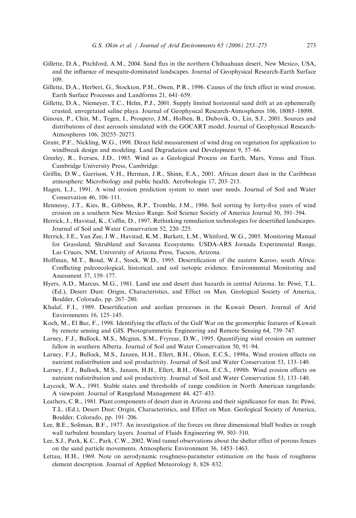- <span id="page-20-0"></span>Gillette, D.A., Pitchford, A.M., 2004. Sand flux in the northern Chihuahuan desert, New Mexico, USA, and the influence of mesquite-dominated landscapes. Journal of Geophysical Research-Earth Surface 109.
- Gillette, D.A., Herbert, G., Stockton, P.H., Owen, P.R., 1996. Causes of the fetch effect in wind erosion. Earth Surface Processes and Landforms 21, 641–659.
- Gillette, D.A., Niemeyer, T.C., Helm, P.J., 2001. Supply limited horizontal sand drift at an ephemerally crusted, unvegetated saline playa. Journal of Geophysical Research-Atmospheres 106, 18085–18098.
- Ginoux, P., Chin, M., Tegen, I., Prospero, J.M., Holben, B., Dubovik, O., Lin, S.J., 2001. Sources and distributions of dust aerosols simulated with the GOCART model. Journal of Geophysical Research-Atmospheres 106, 20255–20273.
- Grant, P.F., Nickling, W.G., 1998. Direct field measurement of wind drag on vegetation for application to windbreak design and modeling. Land Degradation and Development 9, 57–66.
- Greeley, R., Iversen, J.D., 1985. Wind as a Geological Process on Earth, Mars, Venus and Titan. Cambridge University Press, Cambridge.
- Griffin, D.W., Garrison, V.H., Herman, J.R., Shinn, E.A., 2001. African desert dust in the Caribbean atmosphere: Microbiology and public health. Aerobiologia 17, 203–213.
- Hagen, L.J., 1991. A wind erosion prediction system to meet user needs. Journal of Soil and Water Conservation 46, 106–111.
- Hennessy, J.T., Kies, B., Gibbens, R.P., Tromble, J.M., 1986. Soil sorting by forty-five years of wind erosion on a southern New Mexico Range. Soil Science Society of America Journal 50, 391–394.
- Herrick, J., Havstad, K., Coffin, D., 1997. Rethinking remediation technologies for desertified landscapes. Journal of Soil and Water Conservation 52, 220–225.
- Herrick, J.E., Van Zee, J.W., Havstad, K.M., Burkett, L.M., Whitford, W.G., 2005. Monitoring Manual for Grassland, Shrubland and Savanna Ecosystems. USDA-ARS Jornada Experimental Range, Las Cruces, NM, University of Arizona Press, Tucson, Arizona.
- Hoffman, M.T., Bond, W.J., Stock, W.D., 1995. Desertification of the eastern Karoo, south Africa: Conflicting paleoecological, historical, and soil isotopic evidence. Environmental Monitoring and Assessment 37, 159–177.
- Hyers, A.D., Marcus, M.G., 1981. Land use and desert dust hazards in central Arizona. In: Péwé, T.L. (Ed.), Desert Dust: Origin, Characteristics, and Effect on Man. Geological Society of America, Boulder, Colorado, pp. 267–280.
- Khalaf, F.I., 1989. Desertification and aeolian processes in the Kuwait Desert. Journal of Arid Environments 16, 125–145.
- Koch, M., El Baz, F., 1998. Identifying the effects of the Gulf War on the geomorphic features of Kuwait by remote sensing and GIS. Photogrammetric Engineering and Remote Sensing 64, 739–747.
- Larney, F.J., Bullock, M.S., Mcginn, S.M., Fryrear, D.W., 1995. Quantifying wind erosion on summer fallow in southern Alberta. Journal of Soil and Water Conservation 50, 91–94.
- Larney, F.J., Bullock, M.S., Janzen, H.H., Ellert, B.H., Olson, E.C.S., 1998a. Wind erosion effects on nutrient redistribution and soil productivity. Journal of Soil and Water Conservation 53, 133–140.
- Larney, F.J., Bullock, M.S., Janzen, H.H., Ellert, B.H., Olson, E.C.S., 1998b. Wind erosion effects on nutrient redistribution and soil productivity. Journal of Soil and Water Conservation 53, 133–140.
- Laycock, W.A., 1991. Stable states and thresholds of range condition in North American rangelands: A viewpoint. Journal of Rangeland Management 44, 427–433.
- Leathers, C.R., 1981. Plant components of desert dust in Arizona and their significance for man. In: Péwé, T.L. (Ed.), Desert Dust: Origin, Characteristics, and Effect on Man. Geological Society of America, Boulder, Colorado, pp. 191–206.
- Lee, B.E., Soliman, B.F., 1977. An investigation of the forces on three dimensional bluff bodies in rough wall turbulent boundary layers. Journal of Fluids Engineering 99, 503–510.
- Lee, S.J., Park, K.C., Park, C.W., 2002. Wind tunnel observations about the shelter effect of porous fences on the sand particle movements. Atmospheric Environment 36, 1453–1463.
- Lettau, H.H., 1969. Note on aerodynamic roughness-parameter estimation on the basis of roughness element description. Journal of Applied Meteorology 8, 828–832.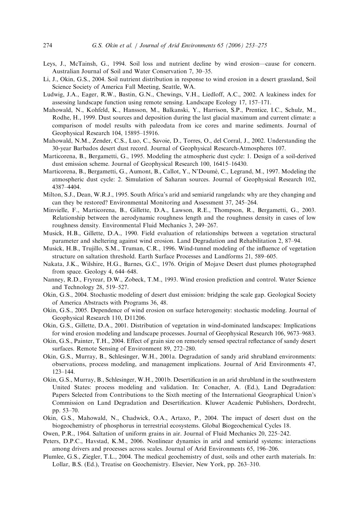- <span id="page-21-0"></span>Leys, J., McTainsh, G., 1994. Soil loss and nutrient decline by wind erosion—cause for concern. Australian Journal of Soil and Water Conservation 7, 30–35.
- Li, J., Okin, G.S., 2004. Soil nutrient distribution in response to wind erosion in a desert grassland, Soil Science Society of America Fall Meeting, Seattle, WA.
- Ludwig, J.A., Eager, R.W., Bastin, G.N., Chewings, V.H., Liedloff, A.C., 2002. A leakiness index for assessing landscape function using remote sensing. Landscape Ecology 17, 157–171.
- Mahowald, N., Kohfeld, K., Hansson, M., Balkanski, Y., Harrison, S.P., Prentice, I.C., Schulz, M., Rodhe, H., 1999. Dust sources and deposition during the last glacial maximum and current climate: a comparison of model results with paleodata from ice cores and marine sediments. Journal of Geophysical Research 104, 15895–15916.
- Mahowald, N.M., Zender, C.S., Luo, C., Savoie, D., Torres, O., del Corral, J., 2002. Understanding the 30-year Barbados desert dust record. Journal of Geophysical Research-Atmospheres 107.
- Marticorena, B., Bergametti, G., 1995. Modeling the atmospheric dust cycle: 1. Design of a soil-derived dust emission scheme. Journal of Geophysical Research 100, 16415–16430.
- Marticorena, B., Bergametti, G., Aumont, B., Callot, Y., N'Doumé, C., Legrand, M., 1997. Modeling the atmospheric dust cycle: 2. Simulation of Saharan sources. Journal of Geophysical Research 102, 4387–4404.
- Milton, S.J., Dean, W.R.J., 1995. South Africa's arid and semiarid rangelands: why are they changing and can they be restored? Environmental Monitoring and Assessment 37, 245–264.
- Minvielle, F., Marticorena, B., Gillette, D.A., Lawson, R.E., Thompson, R., Bergametti, G., 2003. Relationship between the aerodynamic roughness length and the roughness density in cases of low roughness density. Environmental Fluid Mechanics 3, 249–267.
- Musick, H.B., Gillette, D.A., 1990. Field evaluation of relationships between a vegetation structural parameter and sheltering against wind erosion. Land Degradation and Rehabilitation 2, 87–94.
- Musick, H.B., Trujillo, S.M., Truman, C.R., 1996. Wind-tunnel modeling of the influence of vegetation structure on saltation threshold. Earth Surface Processes and Landforms 21, 589–605.
- Nakata, J.K., Wilshire, H.G., Barnes, G.C., 1976. Origin of Mojave Desert dust plumes photographed from space. Geology 4, 644–648.
- Nanney, R.D., Fryrear, D.W., Zobeck, T.M., 1993. Wind erosion prediction and control. Water Science and Technology 28, 519–527.
- Okin, G.S., 2004. Stochastic modeling of desert dust emission: bridging the scale gap. Geological Society of America Abstracts with Programs 36, 48.
- Okin, G.S., 2005. Dependence of wind erosion on surface heterogeneity: stochastic modeling. Journal of Geophysical Research 110, D11206.
- Okin, G.S., Gillette, D.A., 2001. Distribution of vegetation in wind-dominated landscapes: Implications for wind erosion modeling and landscape processes. Journal of Geophysical Research 106, 9673–9683.
- Okin, G.S., Painter, T.H., 2004. Effect of grain size on remotely sensed spectral reflectance of sandy desert surfaces. Remote Sensing of Environment 89, 272–280.
- Okin, G.S., Murray, B., Schlesinger, W.H., 2001a. Degradation of sandy arid shrubland environments: observations, process modeling, and management implications. Journal of Arid Environments 47, 123–144.
- Okin, G.S., Murray, B., Schlesinger, W.H., 2001b. Desertification in an arid shrubland in the southwestern United States: process modeling and validation. In: Conacher, A. (Ed.), Land Degradation: Papers Selected from Contributions to the Sixth meeting of the International Geographical Union's Commission on Land Degradation and Desertification. Kluwer Academic Publishers, Dordrecht, pp. 53–70.
- Okin, G.S., Mahowald, N., Chadwick, O.A., Artaxo, P., 2004. The impact of desert dust on the biogeochemistry of phosphorus in terrestrial ecosystems. Global Biogeochemical Cycles 18.
- Owen, P.R., 1964. Saltation of uniform grains in air. Journal of Fluid Mechanics 20, 225–242.
- Peters, D.P.C., Havstad, K.M., 2006. Nonlinear dynamics in arid and semiarid systems: interactions among drivers and processes across scales. Journal of Arid Environments 65, 196–206.
- Plumlee, G.S., Ziegler, T.L., 2004. The medical geochemistry of dust, soils and other earth materials. In: Lollar, B.S. (Ed.), Treatise on Geochemistry. Elsevier, New York, pp. 263–310.